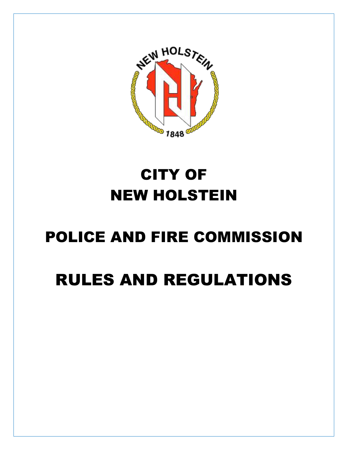

# CITY OF NEW HOLSTEIN

# POLICE AND FIRE COMMISSION

# RULES AND REGULATIONS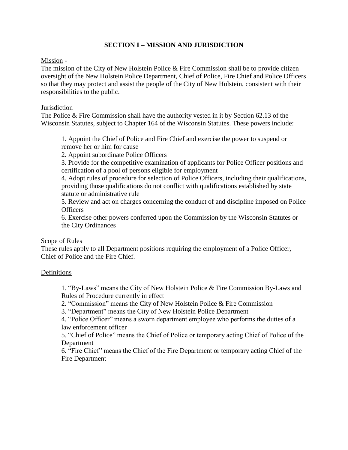# **SECTION I – MISSION AND JURISDICTION**

#### Mission -

The mission of the City of New Holstein Police & Fire Commission shall be to provide citizen oversight of the New Holstein Police Department, Chief of Police, Fire Chief and Police Officers so that they may protect and assist the people of the City of New Holstein, consistent with their responsibilities to the public.

#### Jurisdiction –

The Police & Fire Commission shall have the authority vested in it by Section 62.13 of the Wisconsin Statutes, subject to Chapter 164 of the Wisconsin Statutes. These powers include:

1. Appoint the Chief of Police and Fire Chief and exercise the power to suspend or remove her or him for cause

2. Appoint subordinate Police Officers

3. Provide for the competitive examination of applicants for Police Officer positions and certification of a pool of persons eligible for employment

4. Adopt rules of procedure for selection of Police Officers, including their qualifications, providing those qualifications do not conflict with qualifications established by state statute or administrative rule

5. Review and act on charges concerning the conduct of and discipline imposed on Police **Officers** 

6. Exercise other powers conferred upon the Commission by the Wisconsin Statutes or the City Ordinances

## Scope of Rules

These rules apply to all Department positions requiring the employment of a Police Officer, Chief of Police and the Fire Chief.

## Definitions

1. "By-Laws" means the City of New Holstein Police & Fire Commission By-Laws and Rules of Procedure currently in effect

2. "Commission" means the City of New Holstein Police & Fire Commission

3. "Department" means the City of New Holstein Police Department

4. "Police Officer" means a sworn department employee who performs the duties of a law enforcement officer

5. "Chief of Police" means the Chief of Police or temporary acting Chief of Police of the Department

6. "Fire Chief" means the Chief of the Fire Department or temporary acting Chief of the Fire Department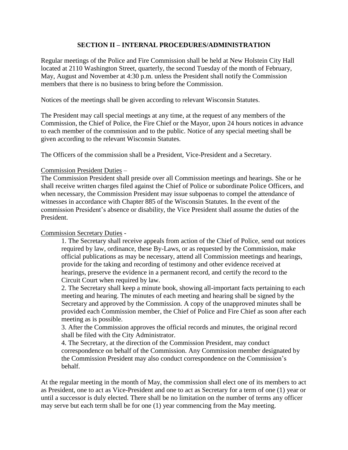# **SECTION II – INTERNAL PROCEDURES/ADMINISTRATION**

Regular meetings of the Police and Fire Commission shall be held at New Holstein City Hall located at 2110 Washington Street, quarterly, the second Tuesday of the month of February, May, August and November at 4:30 p.m. unless the President shall notify the Commission members that there is no business to bring before the Commission.

Notices of the meetings shall be given according to relevant Wisconsin Statutes.

The President may call special meetings at any time, at the request of any members of the Commission, the Chief of Police, the Fire Chief or the Mayor, upon 24 hours notices in advance to each member of the commission and to the public. Notice of any special meeting shall be given according to the relevant Wisconsin Statutes.

The Officers of the commission shall be a President, Vice-President and a Secretary.

#### Commission President Duties –

The Commission President shall preside over all Commission meetings and hearings. She or he shall receive written charges filed against the Chief of Police or subordinate Police Officers, and when necessary, the Commission President may issue subpoenas to compel the attendance of witnesses in accordance with Chapter 885 of the Wisconsin Statutes. In the event of the commission President's absence or disability, the Vice President shall assume the duties of the President.

## Commission Secretary Duties -

1. The Secretary shall receive appeals from action of the Chief of Police, send out notices required by law, ordinance, these By-Laws, or as requested by the Commission, make official publications as may be necessary, attend all Commission meetings and hearings, provide for the taking and recording of testimony and other evidence received at hearings, preserve the evidence in a permanent record, and certify the record to the Circuit Court when required by law.

2. The Secretary shall keep a minute book, showing all-important facts pertaining to each meeting and hearing. The minutes of each meeting and hearing shall be signed by the Secretary and approved by the Commission. A copy of the unapproved minutes shall be provided each Commission member, the Chief of Police and Fire Chief as soon after each meeting as is possible.

3. After the Commission approves the official records and minutes, the original record shall be filed with the City Administrator.

4. The Secretary, at the direction of the Commission President, may conduct correspondence on behalf of the Commission. Any Commission member designated by the Commission President may also conduct correspondence on the Commission's behalf.

At the regular meeting in the month of May, the commission shall elect one of its members to act as President, one to act as Vice-President and one to act as Secretary for a term of one (1) year or until a successor is duly elected. There shall be no limitation on the number of terms any officer may serve but each term shall be for one (1) year commencing from the May meeting.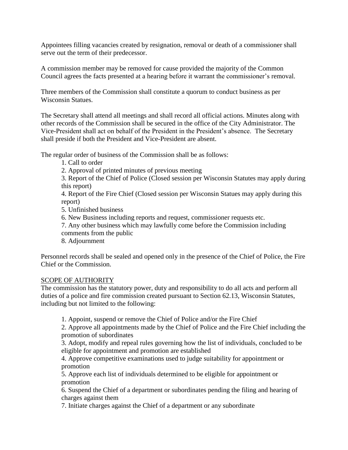Appointees filling vacancies created by resignation, removal or death of a commissioner shall serve out the term of their predecessor.

A commission member may be removed for cause provided the majority of the Common Council agrees the facts presented at a hearing before it warrant the commissioner's removal.

Three members of the Commission shall constitute a quorum to conduct business as per Wisconsin Statues.

The Secretary shall attend all meetings and shall record all official actions. Minutes along with other records of the Commission shall be secured in the office of the City Administrator. The Vice-President shall act on behalf of the President in the President's absence. The Secretary shall preside if both the President and Vice-President are absent.

The regular order of business of the Commission shall be as follows:

1. Call to order

2. Approval of printed minutes of previous meeting

3. Report of the Chief of Police (Closed session per Wisconsin Statutes may apply during this report)

4. Report of the Fire Chief (Closed session per Wisconsin Statues may apply during this report)

5. Unfinished business

6. New Business including reports and request, commissioner requests etc.

7. Any other business which may lawfully come before the Commission including

comments from the public

8. Adjournment

Personnel records shall be sealed and opened only in the presence of the Chief of Police, the Fire Chief or the Commission.

## SCOPE OF AUTHORITY

The commission has the statutory power, duty and responsibility to do all acts and perform all duties of a police and fire commission created pursuant to Section 62.13, Wisconsin Statutes, including but not limited to the following:

1. Appoint, suspend or remove the Chief of Police and/or the Fire Chief

2. Approve all appointments made by the Chief of Police and the Fire Chief including the promotion of subordinates

3. Adopt, modify and repeal rules governing how the list of individuals, concluded to be eligible for appointment and promotion are established

4. Approve competitive examinations used to judge suitability for appointment or promotion

5. Approve each list of individuals determined to be eligible for appointment or promotion

6. Suspend the Chief of a department or subordinates pending the filing and hearing of charges against them

7. Initiate charges against the Chief of a department or any subordinate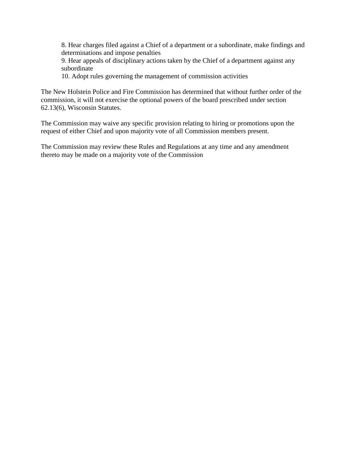8. Hear charges filed against a Chief of a department or a subordinate, make findings and determinations and impose penalties

9. Hear appeals of disciplinary actions taken by the Chief of a department against any subordinate

10. Adopt rules governing the management of commission activities

The New Holstein Police and Fire Commission has determined that without further order of the commission, it will not exercise the optional powers of the board prescribed under section 62.13(6), Wisconsin Statutes.

The Commission may waive any specific provision relating to hiring or promotions upon the request of either Chief and upon majority vote of all Commission members present.

The Commission may review these Rules and Regulations at any time and any amendment thereto may be made on a majority vote of the Commission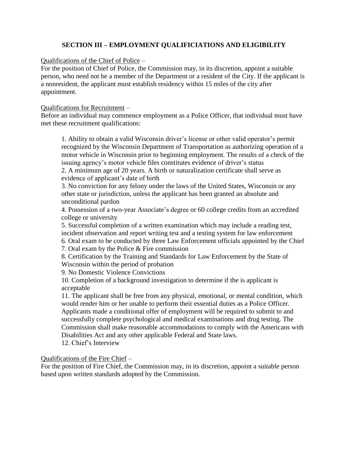# **SECTION III – EMPLOYMENT QUALIFICIATIONS AND ELIGIBILITY**

## Qualifications of the Chief of Police –

For the position of Chief of Police, the Commission may, in its discretion, appoint a suitable person, who need not be a member of the Department or a resident of the City. If the applicant is a nonresident, the applicant must establish residency within 15 miles of the city after appointment.

## Qualifications for Recruitment –

Before an individual may commence employment as a Police Officer, that individual must have met these recruitment qualifications:

1. Ability to obtain a valid Wisconsin driver's license or other valid operator's permit recognized by the Wisconsin Department of Transportation as authorizing operation of a motor vehicle in Wisconsin prior to beginning employment. The results of a check of the issuing agency's motor vehicle files constitutes evidence of driver's status 2. A minimum age of 20 years. A birth or naturalization certificate shall serve as evidence of applicant's date of birth

3. No conviction for any felony under the laws of the United States, Wisconsin or any other state or jurisdiction, unless the applicant has been granted an absolute and unconditional pardon

4. Possession of a two-year Associate's degree or 60 college credits from an accredited college or university

5. Successful completion of a written examination which may include a reading test, incident observation and report writing test and a testing system for law enforcement 6. Oral exam to be conducted by three Law Enforcement officials appointed by the Chief

7. Oral exam by the Police & Fire commission

8. Certification by the Training and Standards for Law Enforcement by the State of Wisconsin within the period of probation

9. No Domestic Violence Convictions

10. Completion of a background investigation to determine if the is applicant is acceptable

11. The applicant shall be free from any physical, emotional, or mental condition, which would render him or her unable to perform their essential duties as a Police Officer. Applicants made a conditional offer of employment will be required to submit to and successfully complete psychological and medical examinations and drug testing. The Commission shall make reasonable accommodations to comply with the Americans with Disabilities Act and any other applicable Federal and State laws.

12. Chief's Interview

Qualifications of the Fire Chief –

For the position of Fire Chief, the Commission may, in its discretion, appoint a suitable person based upon written standards adopted by the Commission.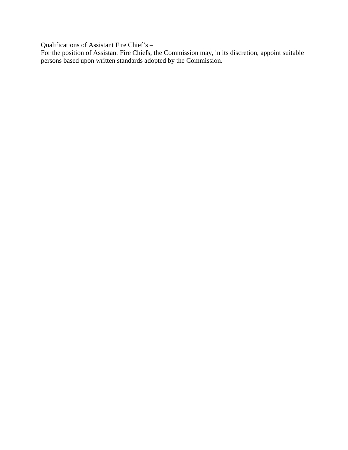Qualifications of Assistant Fire Chief's –

For the position of Assistant Fire Chiefs, the Commission may, in its discretion, appoint suitable persons based upon written standards adopted by the Commission.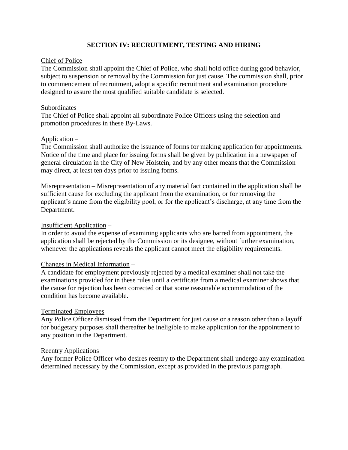# **SECTION IV: RECRUITMENT, TESTING AND HIRING**

### Chief of Police –

The Commission shall appoint the Chief of Police, who shall hold office during good behavior, subject to suspension or removal by the Commission for just cause. The commission shall, prior to commencement of recruitment, adopt a specific recruitment and examination procedure designed to assure the most qualified suitable candidate is selected.

#### Subordinates –

The Chief of Police shall appoint all subordinate Police Officers using the selection and promotion procedures in these By-Laws.

#### Application –

The Commission shall authorize the issuance of forms for making application for appointments. Notice of the time and place for issuing forms shall be given by publication in a newspaper of general circulation in the City of New Holstein, and by any other means that the Commission may direct, at least ten days prior to issuing forms.

Misrepresentation – Misrepresentation of any material fact contained in the application shall be sufficient cause for excluding the applicant from the examination, or for removing the applicant's name from the eligibility pool, or for the applicant's discharge, at any time from the Department.

#### Insufficient Application –

In order to avoid the expense of examining applicants who are barred from appointment, the application shall be rejected by the Commission or its designee, without further examination, whenever the applications reveals the applicant cannot meet the eligibility requirements.

#### Changes in Medical Information –

A candidate for employment previously rejected by a medical examiner shall not take the examinations provided for in these rules until a certificate from a medical examiner shows that the cause for rejection has been corrected or that some reasonable accommodation of the condition has become available.

#### Terminated Employees –

Any Police Officer dismissed from the Department for just cause or a reason other than a layoff for budgetary purposes shall thereafter be ineligible to make application for the appointment to any position in the Department.

#### Reentry Applications –

Any former Police Officer who desires reentry to the Department shall undergo any examination determined necessary by the Commission, except as provided in the previous paragraph.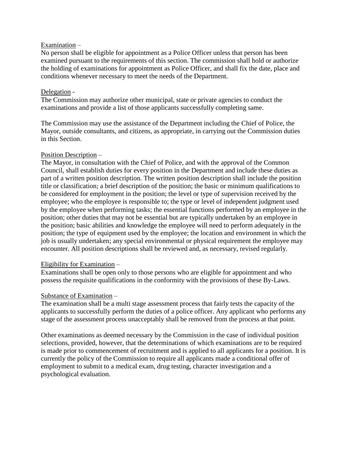## Examination –

No person shall be eligible for appointment as a Police Officer unless that person has been examined pursuant to the requirements of this section. The commission shall hold or authorize the holding of examinations for appointment as Police Officer, and shall fix the date, place and conditions whenever necessary to meet the needs of the Department.

### Delegation -

The Commission may authorize other municipal, state or private agencies to conduct the examinations and provide a list of those applicants successfully completing same.

The Commission may use the assistance of the Department including the Chief of Police, the Mayor, outside consultants, and citizens, as appropriate, in carrying out the Commission duties in this Section.

## Position Description –

The Mayor, in consultation with the Chief of Police, and with the approval of the Common Council, shall establish duties for every position in the Department and include these duties as part of a written position description. The written position description shall include the position title or classification; a brief description of the position; the basic or minimum qualifications to be considered for employment in the position; the level or type of supervision received by the employee; who the employee is responsible to; the type or level of independent judgment used by the employee when performing tasks; the essential functions performed by an employee in the position; other duties that may not be essential but are typically undertaken by an employee in the position; basic abilities and knowledge the employee will need to perform adequately in the position; the type of equipment used by the employee; the location and environment in which the job is usually undertaken; any special environmental or physical requirement the employee may encounter. All position descriptions shall be reviewed and, as necessary, revised regularly.

## Eligibility for Examination –

Examinations shall be open only to those persons who are eligible for appointment and who possess the requisite qualifications in the conformity with the provisions of these By-Laws.

## Substance of Examination –

The examination shall be a multi stage assessment process that fairly tests the capacity of the applicants to successfully perform the duties of a police officer. Any applicant who performs any stage of the assessment process unacceptably shall be removed from the process at that point.

Other examinations as deemed necessary by the Commission in the case of individual position selections, provided, however, that the determinations of which examinations are to be required is made prior to commencement of recruitment and is applied to all applicants for a position. It is currently the policy of the Commission to require all applicants made a conditional offer of employment to submit to a medical exam, drug testing, character investigation and a psychological evaluation.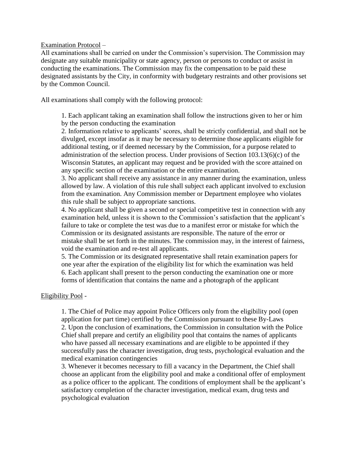Examination Protocol –

All examinations shall be carried on under the Commission's supervision. The Commission may designate any suitable municipality or state agency, person or persons to conduct or assist in conducting the examinations. The Commission may fix the compensation to be paid these designated assistants by the City, in conformity with budgetary restraints and other provisions set by the Common Council.

All examinations shall comply with the following protocol:

1. Each applicant taking an examination shall follow the instructions given to her or him by the person conducting the examination

2. Information relative to applicants' scores, shall be strictly confidential, and shall not be divulged, except insofar as it may be necessary to determine those applicants eligible for additional testing, or if deemed necessary by the Commission, for a purpose related to administration of the selection process. Under provisions of Section 103.13(6)(c) of the Wisconsin Statutes, an applicant may request and be provided with the score attained on any specific section of the examination or the entire examination.

3. No applicant shall receive any assistance in any manner during the examination, unless allowed by law. A violation of this rule shall subject each applicant involved to exclusion from the examination. Any Commission member or Department employee who violates this rule shall be subject to appropriate sanctions.

4. No applicant shall be given a second or special competitive test in connection with any examination held, unless it is shown to the Commission's satisfaction that the applicant's failure to take or complete the test was due to a manifest error or mistake for which the Commission or its designated assistants are responsible. The nature of the error or mistake shall be set forth in the minutes. The commission may, in the interest of fairness, void the examination and re-test all applicants.

5. The Commission or its designated representative shall retain examination papers for one year after the expiration of the eligibility list for which the examination was held 6. Each applicant shall present to the person conducting the examination one or more forms of identification that contains the name and a photograph of the applicant

Eligibility Pool -

1. The Chief of Police may appoint Police Officers only from the eligibility pool (open application for part time) certified by the Commission pursuant to these By-Laws 2. Upon the conclusion of examinations, the Commission in consultation with the Police Chief shall prepare and certify an eligibility pool that contains the names of applicants who have passed all necessary examinations and are eligible to be appointed if they successfully pass the character investigation, drug tests, psychological evaluation and the medical examination contingencies

3. Whenever it becomes necessary to fill a vacancy in the Department, the Chief shall choose an applicant from the eligibility pool and make a conditional offer of employment as a police officer to the applicant. The conditions of employment shall be the applicant's satisfactory completion of the character investigation, medical exam, drug tests and psychological evaluation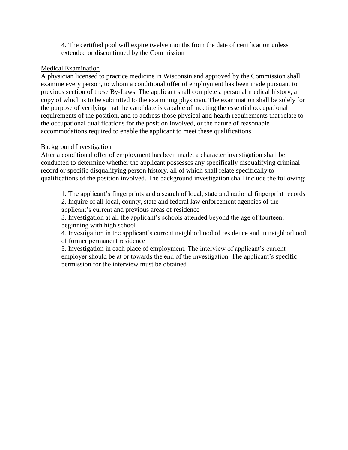4. The certified pool will expire twelve months from the date of certification unless extended or discontinued by the Commission

# Medical Examination –

A physician licensed to practice medicine in Wisconsin and approved by the Commission shall examine every person, to whom a conditional offer of employment has been made pursuant to previous section of these By-Laws. The applicant shall complete a personal medical history, a copy of which is to be submitted to the examining physician. The examination shall be solely for the purpose of verifying that the candidate is capable of meeting the essential occupational requirements of the position, and to address those physical and health requirements that relate to the occupational qualifications for the position involved, or the nature of reasonable accommodations required to enable the applicant to meet these qualifications.

## Background Investigation –

After a conditional offer of employment has been made, a character investigation shall be conducted to determine whether the applicant possesses any specifically disqualifying criminal record or specific disqualifying person history, all of which shall relate specifically to qualifications of the position involved. The background investigation shall include the following:

1. The applicant's fingerprints and a search of local, state and national fingerprint records 2. Inquire of all local, county, state and federal law enforcement agencies of the applicant's current and previous areas of residence

3. Investigation at all the applicant's schools attended beyond the age of fourteen; beginning with high school

4. Investigation in the applicant's current neighborhood of residence and in neighborhood of former permanent residence

5. Investigation in each place of employment. The interview of applicant's current employer should be at or towards the end of the investigation. The applicant's specific permission for the interview must be obtained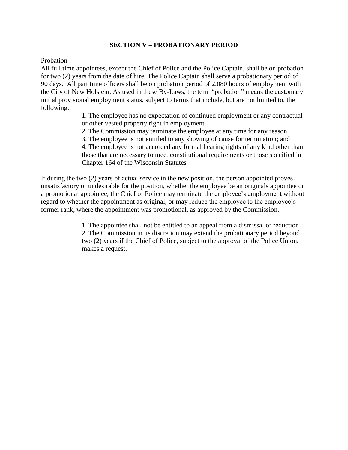## **SECTION V – PROBATIONARY PERIOD**

Probation -

All full time appointees, except the Chief of Police and the Police Captain, shall be on probation for two (2) years from the date of hire. The Police Captain shall serve a probationary period of 90 days. All part time officers shall be on probation period of 2,080 hours of employment with the City of New Holstein. As used in these By-Laws, the term "probation" means the customary initial provisional employment status, subject to terms that include, but are not limited to, the following:

> 1. The employee has no expectation of continued employment or any contractual or other vested property right in employment

2. The Commission may terminate the employee at any time for any reason

3. The employee is not entitled to any showing of cause for termination; and 4. The employee is not accorded any formal hearing rights of any kind other than those that are necessary to meet constitutional requirements or those specified in Chapter 164 of the Wisconsin Statutes

If during the two (2) years of actual service in the new position, the person appointed proves unsatisfactory or undesirable for the position, whether the employee be an originals appointee or a promotional appointee, the Chief of Police may terminate the employee's employment without regard to whether the appointment as original, or may reduce the employee to the employee's former rank, where the appointment was promotional, as approved by the Commission.

> 1. The appointee shall not be entitled to an appeal from a dismissal or reduction 2. The Commission in its discretion may extend the probationary period beyond two (2) years if the Chief of Police, subject to the approval of the Police Union, makes a request.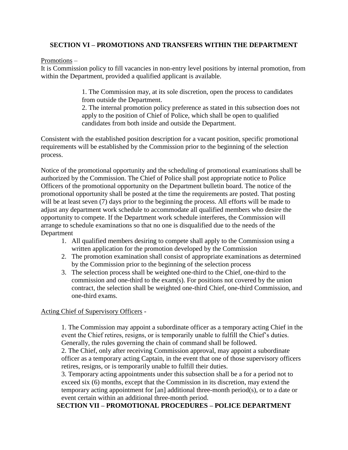# **SECTION VI – PROMOTIONS AND TRANSFERS WITHIN THE DEPARTMENT**

## Promotions –

It is Commission policy to fill vacancies in non-entry level positions by internal promotion, from within the Department, provided a qualified applicant is available.

> 1. The Commission may, at its sole discretion, open the process to candidates from outside the Department.

2. The internal promotion policy preference as stated in this subsection does not apply to the position of Chief of Police, which shall be open to qualified candidates from both inside and outside the Department.

Consistent with the established position description for a vacant position, specific promotional requirements will be established by the Commission prior to the beginning of the selection process.

Notice of the promotional opportunity and the scheduling of promotional examinations shall be authorized by the Commission. The Chief of Police shall post appropriate notice to Police Officers of the promotional opportunity on the Department bulletin board. The notice of the promotional opportunity shall be posted at the time the requirements are posted. That posting will be at least seven (7) days prior to the beginning the process. All efforts will be made to adjust any department work schedule to accommodate all qualified members who desire the opportunity to compete. If the Department work schedule interferes, the Commission will arrange to schedule examinations so that no one is disqualified due to the needs of the Department

- 1. All qualified members desiring to compete shall apply to the Commission using a written application for the promotion developed by the Commission
- 2. The promotion examination shall consist of appropriate examinations as determined by the Commission prior to the beginning of the selection process
- 3. The selection process shall be weighted one-third to the Chief, one-third to the commission and one-third to the exam(s). For positions not covered by the union contract, the selection shall be weighted one-third Chief, one-third Commission, and one-third exams.

# Acting Chief of Supervisory Officers -

1. The Commission may appoint a subordinate officer as a temporary acting Chief in the event the Chief retires, resigns, or is temporarily unable to fulfill the Chief's duties. Generally, the rules governing the chain of command shall be followed.

2. The Chief, only after receiving Commission approval, may appoint a subordinate officer as a temporary acting Captain, in the event that one of those supervisory officers retires, resigns, or is temporarily unable to fulfill their duties.

3. Temporary acting appointments under this subsection shall be a for a period not to exceed six (6) months, except that the Commission in its discretion, may extend the temporary acting appointment for [an] additional three-month period(s), or to a date or event certain within an additional three-month period.

# **SECTION VII – PROMOTIONAL PROCEDURES – POLICE DEPARTMENT**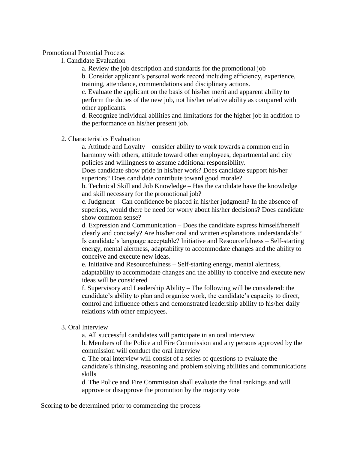#### Promotional Potential Process

l. Candidate Evaluation

a. Review the job description and standards for the promotional job

b. Consider applicant's personal work record including efficiency, experience, training, attendance, commendations and disciplinary actions.

c. Evaluate the applicant on the basis of his/her merit and apparent ability to perform the duties of the new job, not his/her relative ability as compared with other applicants.

d. Recognize individual abilities and limitations for the higher job in addition to the performance on his/her present job.

#### 2. Characteristics Evaluation

a. Attitude and Loyalty – consider ability to work towards a common end in harmony with others, attitude toward other employees, departmental and city policies and willingness to assume additional responsibility.

Does candidate show pride in his/her work? Does candidate support his/her superiors? Does candidate contribute toward good morale?

b. Technical Skill and Job Knowledge – Has the candidate have the knowledge and skill necessary for the promotional job?

c. Judgment – Can confidence be placed in his/her judgment? In the absence of superiors, would there be need for worry about his/her decisions? Does candidate show common sense?

d. Expression and Communication – Does the candidate express himself/herself clearly and concisely? Are his/her oral and written explanations understandable? Is candidate's language acceptable? Initiative and Resourcefulness – Self-starting energy, mental alertness, adaptability to accommodate changes and the ability to conceive and execute new ideas.

e. Initiative and Resourcefulness – Self-starting energy, mental alertness, adaptability to accommodate changes and the ability to conceive and execute new ideas will be considered

f. Supervisory and Leadership Ability – The following will be considered: the candidate's ability to plan and organize work, the candidate's capacity to direct, control and influence others and demonstrated leadership ability to his/her daily relations with other employees.

## 3. Oral Interview

a. All successful candidates will participate in an oral interview

b. Members of the Police and Fire Commission and any persons approved by the commission will conduct the oral interview

c. The oral interview will consist of a series of questions to evaluate the candidate's thinking, reasoning and problem solving abilities and communications skills

d. The Police and Fire Commission shall evaluate the final rankings and will approve or disapprove the promotion by the majority vote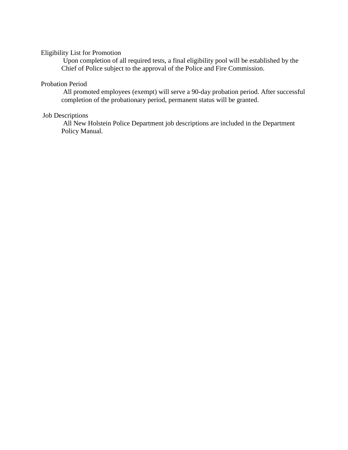# Eligibility List for Promotion

Upon completion of all required tests, a final eligibility pool will be established by the Chief of Police subject to the approval of the Police and Fire Commission.

### Probation Period

All promoted employees (exempt) will serve a 90-day probation period. After successful completion of the probationary period, permanent status will be granted.

# Job Descriptions

All New Holstein Police Department job descriptions are included in the Department Policy Manual.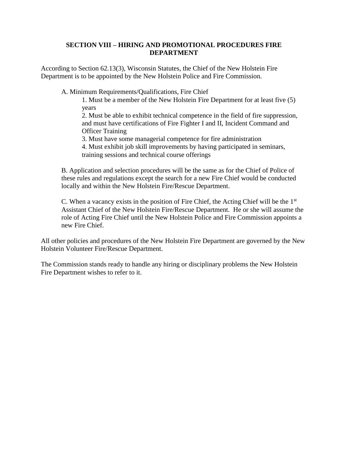## **SECTION VIII – HIRING AND PROMOTIONAL PROCEDURES FIRE DEPARTMENT**

According to Section 62.13(3), Wisconsin Statutes, the Chief of the New Holstein Fire Department is to be appointed by the New Holstein Police and Fire Commission.

A. Minimum Requirements/Qualifications, Fire Chief

1. Must be a member of the New Holstein Fire Department for at least five (5) years

2. Must be able to exhibit technical competence in the field of fire suppression, and must have certifications of Fire Fighter I and II, Incident Command and Officer Training

3. Must have some managerial competence for fire administration

4. Must exhibit job skill improvements by having participated in seminars, training sessions and technical course offerings

B. Application and selection procedures will be the same as for the Chief of Police of these rules and regulations except the search for a new Fire Chief would be conducted locally and within the New Holstein Fire/Rescue Department.

C. When a vacancy exists in the position of Fire Chief, the Acting Chief will be the  $1<sup>st</sup>$ Assistant Chief of the New Holstein Fire/Rescue Department. He or she will assume the role of Acting Fire Chief until the New Holstein Police and Fire Commission appoints a new Fire Chief.

All other policies and procedures of the New Holstein Fire Department are governed by the New Holstein Volunteer Fire/Rescue Department.

The Commission stands ready to handle any hiring or disciplinary problems the New Holstein Fire Department wishes to refer to it.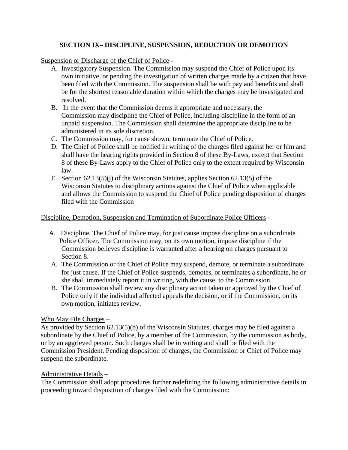# **SECTION IX– DISCIPLINE, SUSPENSION, REDUCTION OR DEMOTION**

Suspension or Discharge of the Chief of Police -

- A. Investigatory Suspension. The Commission may suspend the Chief of Police upon its own initiative, or pending the investigation of written charges made by a citizen that have been filed with the Commission. The suspension shall be with pay and benefits and shall be for the shortest reasonable duration within which the charges may be investigated and resolved.
- B. In the event that the Commission deems it appropriate and necessary, the Commission may discipline the Chief of Police, including discipline in the form of an unpaid suspension. The Commission shall determine the appropriate discipline to be administered in its sole discretion.
- C. The Commission may, for cause shown, terminate the Chief of Police.
- D. The Chief of Police shall be notified in writing of the charges filed against her or him and shall have the hearing rights provided in Section 8 of these By-Laws, except that Section 8 of these By-Laws apply to the Chief of Police only to the extent required by Wisconsin law.
- E. Section 62.13(5)(j) of the Wisconsin Statutes, applies Section 62.13(5) of the Wisconsin Statutes to disciplinary actions against the Chief of Police when applicable and allows the Commission to suspend the Chief of Police pending disposition of charges filed with the Commission

# Discipline, Demotion, Suspension and Termination of Subordinate Police Officers -

- A. Discipline. The Chief of Police may, for just cause impose discipline on a subordinate Police Officer. The Commission may, on its own motion, impose discipline if the Commission believes discipline is warranted after a hearing on charges pursuant to Section 8.
- A. The Commission or the Chief of Police may suspend, demote, or terminate a subordinate for just cause. If the Chief of Police suspends, demotes, or terminates a subordinate, he or she shall immediately report it in writing, with the cause, to the Commission.
- B. The Commission shall review any disciplinary action taken or approved by the Chief of Police only if the individual affected appeals the decision, or if the Commission, on its own motion, initiates review.

# Who May File Charges –

As provided by Section 62.13(5)(b) of the Wisconsin Statutes, charges may be filed against a subordinate by the Chief of Police, by a member of the Commission, by the commission as body, or by an aggrieved person. Such charges shall be in writing and shall be filed with the Commission President. Pending disposition of charges, the Commission or Chief of Police may suspend the subordinate.

## Administrative Details –

The Commission shall adopt procedures further redefining the following administrative details in proceeding toward disposition of charges filed with the Commission: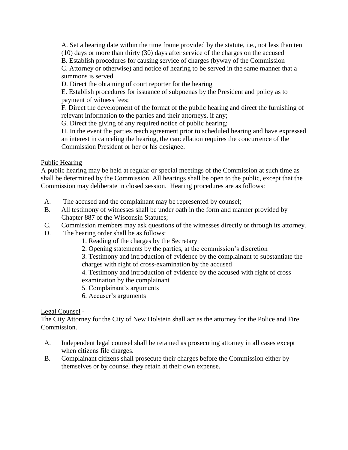A. Set a hearing date within the time frame provided by the statute, i.e., not less than ten (10) days or more than thirty (30) days after service of the charges on the accused

B. Establish procedures for causing service of charges (byway of the Commission

C. Attorney or otherwise) and notice of hearing to be served in the same manner that a summons is served

D. Direct the obtaining of court reporter for the hearing

E. Establish procedures for issuance of subpoenas by the President and policy as to payment of witness fees;

F. Direct the development of the format of the public hearing and direct the furnishing of relevant information to the parties and their attorneys, if any;

G. Direct the giving of any required notice of public hearing;

H. In the event the parties reach agreement prior to scheduled hearing and have expressed an interest in canceling the hearing, the cancellation requires the concurrence of the Commission President or her or his designee.

Public Hearing –

A public hearing may be held at regular or special meetings of the Commission at such time as shall be determined by the Commission. All hearings shall be open to the public, except that the Commission may deliberate in closed session. Hearing procedures are as follows:

- A. The accused and the complainant may be represented by counsel;
- B. All testimony of witnesses shall be under oath in the form and manner provided by Chapter 887 of the Wisconsin Statutes;
- C. Commission members may ask questions of the witnesses directly or through its attorney.
- D. The hearing order shall be as follows:
	- 1. Reading of the charges by the Secretary
	- 2. Opening statements by the parties, at the commission's discretion

3. Testimony and introduction of evidence by the complainant to substantiate the charges with right of cross-examination by the accused

4. Testimony and introduction of evidence by the accused with right of cross examination by the complainant

5. Complainant's arguments

6. Accuser's arguments

## Legal Counsel -

The City Attorney for the City of New Holstein shall act as the attorney for the Police and Fire Commission.

- A. Independent legal counsel shall be retained as prosecuting attorney in all cases except when citizens file charges.
- B. Complainant citizens shall prosecute their charges before the Commission either by themselves or by counsel they retain at their own expense.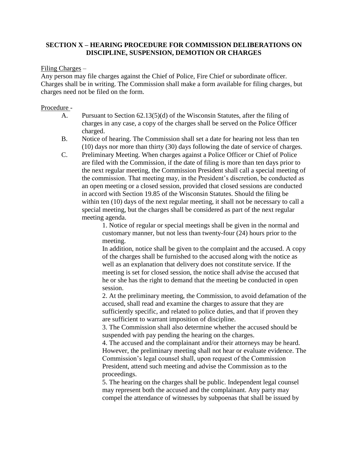## **SECTION X – HEARING PROCEDURE FOR COMMISSION DELIBERATIONS ON DISCIPLINE, SUSPENSION, DEMOTION OR CHARGES**

#### Filing Charges –

Any person may file charges against the Chief of Police, Fire Chief or subordinate officer. Charges shall be in writing. The Commission shall make a form available for filing charges, but charges need not be filed on the form.

### Procedure -

- A. Pursuant to Section 62.13(5)(d) of the Wisconsin Statutes, after the filing of charges in any case, a copy of the charges shall be served on the Police Officer charged.
- B. Notice of hearing. The Commission shall set a date for hearing not less than ten (10) days nor more than thirty (30) days following the date of service of charges.
- C. Preliminary Meeting. When charges against a Police Officer or Chief of Police are filed with the Commission, if the date of filing is more than ten days prior to the next regular meeting, the Commission President shall call a special meeting of the commission. That meeting may, in the President's discretion, be conducted as an open meeting or a closed session, provided that closed sessions are conducted in accord with Section 19.85 of the Wisconsin Statutes. Should the filing be within ten (10) days of the next regular meeting, it shall not be necessary to call a special meeting, but the charges shall be considered as part of the next regular meeting agenda.

1. Notice of regular or special meetings shall be given in the normal and customary manner, but not less than twenty-four (24) hours prior to the meeting.

In addition, notice shall be given to the complaint and the accused. A copy of the charges shall be furnished to the accused along with the notice as well as an explanation that delivery does not constitute service. If the meeting is set for closed session, the notice shall advise the accused that he or she has the right to demand that the meeting be conducted in open session.

2. At the preliminary meeting, the Commission, to avoid defamation of the accused, shall read and examine the charges to assure that they are sufficiently specific, and related to police duties, and that if proven they are sufficient to warrant imposition of discipline.

3. The Commission shall also determine whether the accused should be suspended with pay pending the hearing on the charges.

4. The accused and the complainant and/or their attorneys may be heard. However, the preliminary meeting shall not hear or evaluate evidence. The Commission's legal counsel shall, upon request of the Commission President, attend such meeting and advise the Commission as to the proceedings.

5. The hearing on the charges shall be public. Independent legal counsel may represent both the accused and the complainant. Any party may compel the attendance of witnesses by subpoenas that shall be issued by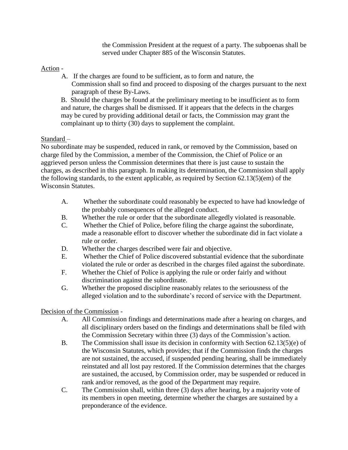the Commission President at the request of a party. The subpoenas shall be served under Chapter 885 of the Wisconsin Statutes.

# Action -

A. If the charges are found to be sufficient, as to form and nature, the Commission shall so find and proceed to disposing of the charges pursuant to the next paragraph of these By-Laws.

B. Should the charges be found at the preliminary meeting to be insufficient as to form and nature, the charges shall be dismissed. If it appears that the defects in the charges may be cured by providing additional detail or facts, the Commission may grant the complainant up to thirty (30) days to supplement the complaint.

# Standard –

No subordinate may be suspended, reduced in rank, or removed by the Commission, based on charge filed by the Commission, a member of the Commission, the Chief of Police or an aggrieved person unless the Commission determines that there is just cause to sustain the charges, as described in this paragraph. In making its determination, the Commission shall apply the following standards, to the extent applicable, as required by Section 62.13(5)(em) of the Wisconsin Statutes.

- A. Whether the subordinate could reasonably be expected to have had knowledge of the probably consequences of the alleged conduct.
- B. Whether the rule or order that the subordinate allegedly violated is reasonable.
- C. Whether the Chief of Police, before filing the charge against the subordinate, made a reasonable effort to discover whether the subordinate did in fact violate a rule or order.
- D. Whether the charges described were fair and objective.
- E. Whether the Chief of Police discovered substantial evidence that the subordinate violated the rule or order as described in the charges filed against the subordinate.
- F. Whether the Chief of Police is applying the rule or order fairly and without discrimination against the subordinate.
- G. Whether the proposed discipline reasonably relates to the seriousness of the alleged violation and to the subordinate's record of service with the Department.

# Decision of the Commission -

- A. All Commission findings and determinations made after a hearing on charges, and all disciplinary orders based on the findings and determinations shall be filed with the Commission Secretary within three (3) days of the Commission's action.
- B. The Commission shall issue its decision in conformity with Section 62.13(5)(e) of the Wisconsin Statutes, which provides; that if the Commission finds the charges are not sustained, the accused, if suspended pending hearing, shall be immediately reinstated and all lost pay restored. If the Commission determines that the charges are sustained, the accused, by Commission order, may be suspended or reduced in rank and/or removed, as the good of the Department may require.
- C. The Commission shall, within three (3) days after hearing, by a majority vote of its members in open meeting, determine whether the charges are sustained by a preponderance of the evidence.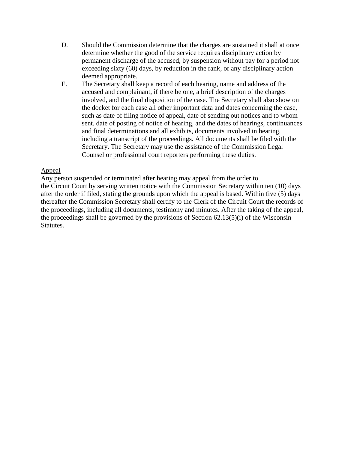- D. Should the Commission determine that the charges are sustained it shall at once determine whether the good of the service requires disciplinary action by permanent discharge of the accused, by suspension without pay for a period not exceeding sixty (60) days, by reduction in the rank, or any disciplinary action deemed appropriate.
- E. The Secretary shall keep a record of each hearing, name and address of the accused and complainant, if there be one, a brief description of the charges involved, and the final disposition of the case. The Secretary shall also show on the docket for each case all other important data and dates concerning the case, such as date of filing notice of appeal, date of sending out notices and to whom sent, date of posting of notice of hearing, and the dates of hearings, continuances and final determinations and all exhibits, documents involved in hearing, including a transcript of the proceedings. All documents shall be filed with the Secretary. The Secretary may use the assistance of the Commission Legal Counsel or professional court reporters performing these duties.

## Appeal –

Any person suspended or terminated after hearing may appeal from the order to the Circuit Court by serving written notice with the Commission Secretary within ten (10) days after the order if filed, stating the grounds upon which the appeal is based. Within five (5) days thereafter the Commission Secretary shall certify to the Clerk of the Circuit Court the records of the proceedings, including all documents, testimony and minutes. After the taking of the appeal, the proceedings shall be governed by the provisions of Section 62.13(5)(i) of the Wisconsin Statutes.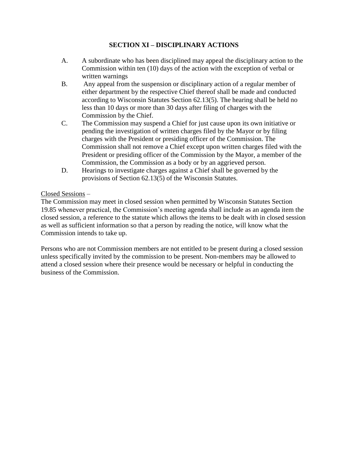# **SECTION XI – DISCIPLINARY ACTIONS**

- A. A subordinate who has been disciplined may appeal the disciplinary action to the Commission within ten (10) days of the action with the exception of verbal or written warnings
- B. Any appeal from the suspension or disciplinary action of a regular member of either department by the respective Chief thereof shall be made and conducted according to Wisconsin Statutes Section 62.13(5). The hearing shall be held no less than 10 days or more than 30 days after filing of charges with the Commission by the Chief.
- C. The Commission may suspend a Chief for just cause upon its own initiative or pending the investigation of written charges filed by the Mayor or by filing charges with the President or presiding officer of the Commission. The Commission shall not remove a Chief except upon written charges filed with the President or presiding officer of the Commission by the Mayor, a member of the Commission, the Commission as a body or by an aggrieved person.
- D. Hearings to investigate charges against a Chief shall be governed by the provisions of Section 62.13(5) of the Wisconsin Statutes.

# Closed Sessions –

The Commission may meet in closed session when permitted by Wisconsin Statutes Section 19.85 whenever practical, the Commission's meeting agenda shall include as an agenda item the closed session, a reference to the statute which allows the items to be dealt with in closed session as well as sufficient information so that a person by reading the notice, will know what the Commission intends to take up.

Persons who are not Commission members are not entitled to be present during a closed session unless specifically invited by the commission to be present. Non-members may be allowed to attend a closed session where their presence would be necessary or helpful in conducting the business of the Commission.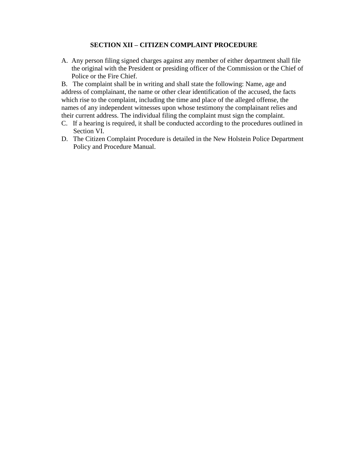## **SECTION XII – CITIZEN COMPLAINT PROCEDURE**

A. Any person filing signed charges against any member of either department shall file the original with the President or presiding officer of the Commission or the Chief of Police or the Fire Chief.

B. The complaint shall be in writing and shall state the following: Name, age and address of complainant, the name or other clear identification of the accused, the facts which rise to the complaint, including the time and place of the alleged offense, the names of any independent witnesses upon whose testimony the complainant relies and their current address. The individual filing the complaint must sign the complaint.

- C. If a hearing is required, it shall be conducted according to the procedures outlined in Section VI.
- D. The Citizen Complaint Procedure is detailed in the New Holstein Police Department Policy and Procedure Manual.